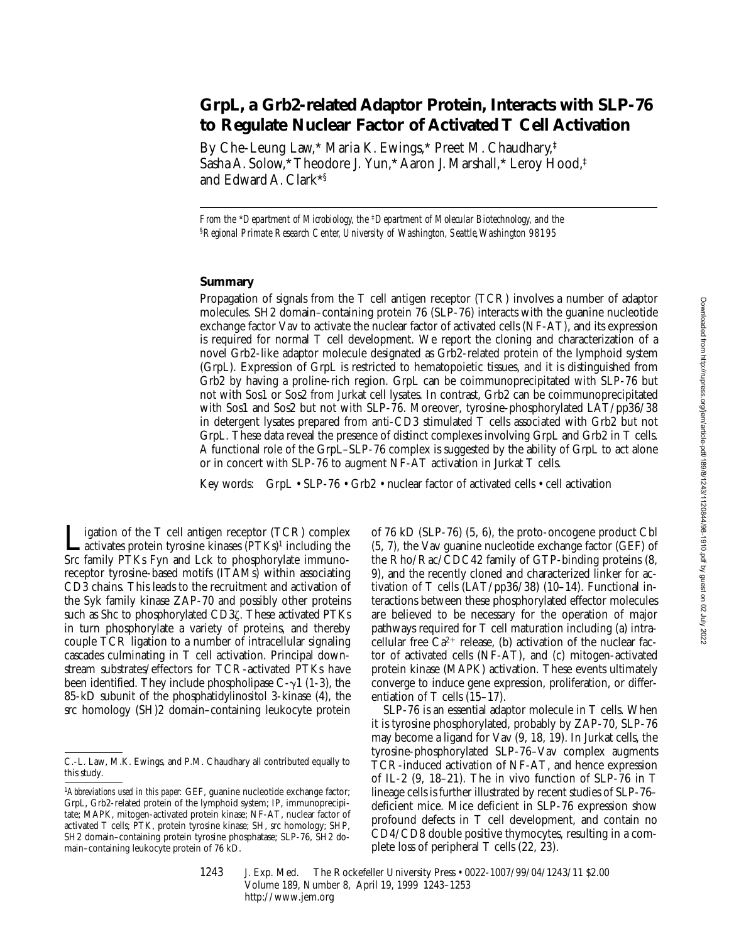# **GrpL, a Grb2-related Adaptor Protein, Interacts with SLP-76 to Regulate Nuclear Factor of Activated T Cell Activation**

By Che-Leung Law,\* Maria K. Ewings,\* Preet M. Chaudhary,‡ Sasha A. Solow,\* Theodore J. Yun,\* Aaron J. Marshall,\* Leroy Hood,‡ and Edward A. Clark\*§

*From the* \**Department of Microbiology, the* ‡*Department of Molecular Biotechnology, and the*  §*Regional Primate Research Center, University of Washington, Seattle, Washington 98195*

## **Summary**

Propagation of signals from the T cell antigen receptor (TCR) involves a number of adaptor molecules. SH2 domain–containing protein 76 (SLP-76) interacts with the guanine nucleotide exchange factor Vav to activate the nuclear factor of activated cells (NF-AT), and its expression is required for normal T cell development. We report the cloning and characterization of a novel Grb2-like adaptor molecule designated as Grb2-related protein of the lymphoid system (GrpL). Expression of GrpL is restricted to hematopoietic tissues, and it is distinguished from Grb2 by having a proline-rich region. GrpL can be coimmunoprecipitated with SLP-76 but not with Sos1 or Sos2 from Jurkat cell lysates. In contrast, Grb2 can be coimmunoprecipitated with Sos1 and Sos2 but not with SLP-76. Moreover, tyrosine-phosphorylated LAT/pp36/38 in detergent lysates prepared from anti-CD3 stimulated T cells associated with Grb2 but not GrpL. These data reveal the presence of distinct complexes involving GrpL and Grb2 in T cells. A functional role of the GrpL–SLP-76 complex is suggested by the ability of GrpL to act alone or in concert with SLP-76 to augment NF-AT activation in Jurkat T cells.

Key words: GrpL • SLP-76 • Grb2 • nuclear factor of activated cells • cell activation

igation of the  $T$  cell antigen receptor (TCR) complex **activates protein tyrosine kinases** ( $PTKs$ <sup>1</sup> including the Src family PTKs Fyn and Lck to phosphorylate immunoreceptor tyrosine-based motifs (ITAMs) within associating CD3 chains. This leads to the recruitment and activation of the Syk family kinase ZAP-70 and possibly other proteins such as Shc to phosphorylated CD3z. These activated PTKs in turn phosphorylate a variety of proteins, and thereby couple TCR ligation to a number of intracellular signaling cascades culminating in T cell activation. Principal downstream substrates/effectors for TCR-activated PTKs have been identified. They include phospholipase  $C-\gamma$ 1 (1-3), the 85-kD subunit of the phosphatidylinositol 3-kinase (4), the src homology (SH)2 domain–containing leukocyte protein

of 76 kD (SLP-76) (5, 6), the proto-oncogene product Cbl (5, 7), the Vav guanine nucleotide exchange factor (GEF) of the Rho/Rac/CDC42 family of GTP-binding proteins (8, 9), and the recently cloned and characterized linker for activation of T cells (LAT/pp36/38) (10–14). Functional interactions between these phosphorylated effector molecules are believed to be necessary for the operation of major pathways required for T cell maturation including (a) intracellular free  $Ca^{2+}$  release, (b) activation of the nuclear factor of activated cells (NF-AT), and (c) mitogen-activated protein kinase (MAPK) activation. These events ultimately converge to induce gene expression, proliferation, or differentiation of T cells (15–17).

SLP-76 is an essential adaptor molecule in T cells. When it is tyrosine phosphorylated, probably by ZAP-70, SLP-76 may become a ligand for Vav (9, 18, 19). In Jurkat cells, the tyrosine-phosphorylated SLP-76–Vav complex augments TCR-induced activation of NF-AT, and hence expression of IL-2 (9, 18–21). The in vivo function of SLP-76 in T lineage cells is further illustrated by recent studies of SLP-76– deficient mice. Mice deficient in SLP-76 expression show profound defects in T cell development, and contain no CD4/CD8 double positive thymocytes, resulting in a complete loss of peripheral T cells (22, 23).

C.-L. Law, M.K. Ewings, and P.M. Chaudhary all contributed equally to this study.

<sup>1</sup>*Abbreviations used in this paper:* GEF, guanine nucleotide exchange factor; GrpL, Grb2-related protein of the lymphoid system; IP, immunoprecipitate; MAPK, mitogen-activated protein kinase; NF-AT, nuclear factor of activated T cells; PTK, protein tyrosine kinase; SH, src homology; SHP, SH2 domain–containing protein tyrosine phosphatase; SLP-76, SH2 domain–containing leukocyte protein of 76 kD.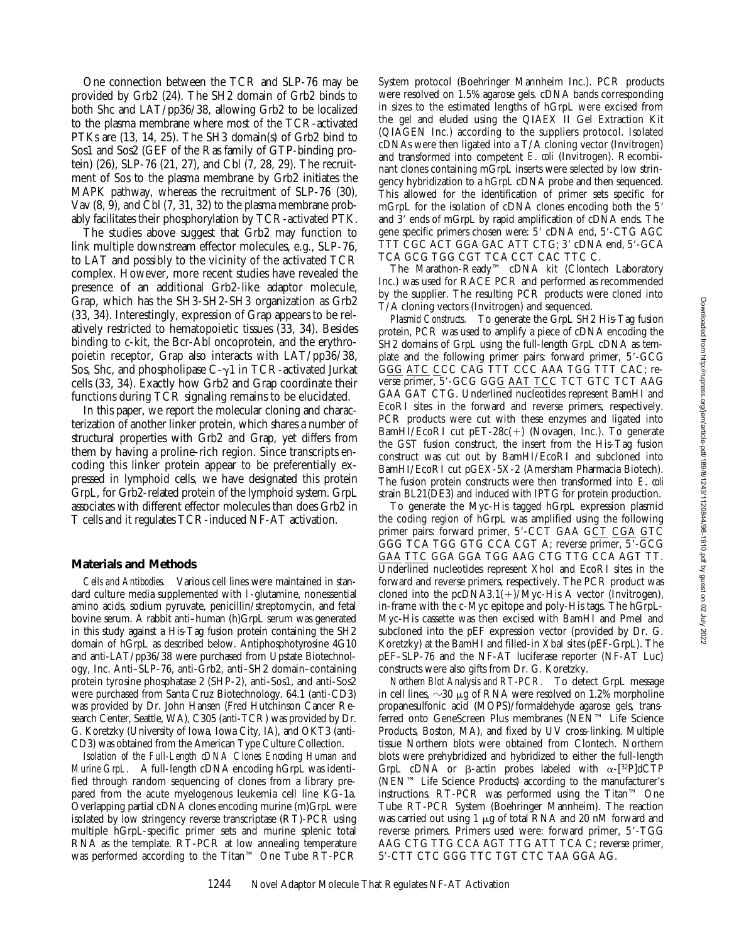One connection between the TCR and SLP-76 may be provided by Grb2 (24). The SH2 domain of Grb2 binds to both Shc and LAT/pp36/38, allowing Grb2 to be localized to the plasma membrane where most of the TCR-activated PTKs are (13, 14, 25). The SH3 domain(s) of Grb2 bind to Sos1 and Sos2 (GEF of the Ras family of GTP-binding protein) (26), SLP-76 (21, 27), and Cbl (7, 28, 29). The recruitment of Sos to the plasma membrane by Grb2 initiates the MAPK pathway, whereas the recruitment of SLP-76 (30), Vav (8, 9), and Cbl (7, 31, 32) to the plasma membrane probably facilitates their phosphorylation by TCR-activated PTK.

The studies above suggest that Grb2 may function to link multiple downstream effector molecules, e.g., SLP-76, to LAT and possibly to the vicinity of the activated TCR complex. However, more recent studies have revealed the presence of an additional Grb2-like adaptor molecule, Grap, which has the SH3-SH2-SH3 organization as Grb2 (33, 34). Interestingly, expression of Grap appears to be relatively restricted to hematopoietic tissues (33, 34). Besides binding to c-kit, the Bcr-Abl oncoprotein, and the erythropoietin receptor, Grap also interacts with LAT/pp36/38, Sos, Shc, and phospholipase  $C-\gamma1$  in TCR-activated Jurkat cells (33, 34). Exactly how Grb2 and Grap coordinate their functions during TCR signaling remains to be elucidated.

In this paper, we report the molecular cloning and characterization of another linker protein, which shares a number of structural properties with Grb2 and Grap, yet differs from them by having a proline-rich region. Since transcripts encoding this linker protein appear to be preferentially expressed in lymphoid cells, we have designated this protein GrpL, for Grb2-related protein of the lymphoid system. GrpL associates with different effector molecules than does Grb2 in T cells and it regulates TCR-induced NF-AT activation.

## **Materials and Methods**

*Cells and Antibodies.* Various cell lines were maintained in standard culture media supplemented with l-glutamine, nonessential amino acids, sodium pyruvate, penicillin/streptomycin, and fetal bovine serum. A rabbit anti–human (h)GrpL serum was generated in this study against a His-Tag fusion protein containing the SH2 domain of hGrpL as described below. Antiphosphotyrosine 4G10 and anti-LAT/pp36/38 were purchased from Upstate Biotechnology, Inc. Anti–SLP-76, anti-Grb2, anti–SH2 domain–containing protein tyrosine phosphatase 2 (SHP-2), anti-Sos1, and anti-Sos2 were purchased from Santa Cruz Biotechnology. 64.1 (anti-CD3) was provided by Dr. John Hansen (Fred Hutchinson Cancer Research Center, Seattle, WA), C305 (anti-TCR) was provided by Dr. G. Koretzky (University of Iowa, Iowa City, IA), and OKT3 (anti-CD3) was obtained from the American Type Culture Collection.

*Isolation of the Full-Length cDNA Clones Encoding Human and Murine GrpL.* A full-length cDNA encoding hGrpL was identified through random sequencing of clones from a library prepared from the acute myelogenous leukemia cell line KG-1a. Overlapping partial cDNA clones encoding murine (m)GrpL were isolated by low stringency reverse transcriptase (RT)-PCR using multiple hGrpL-specific primer sets and murine splenic total RNA as the template. RT-PCR at low annealing temperature was performed according to the Titan™ One Tube RT-PCR System protocol (Boehringer Mannheim Inc.). PCR products were resolved on 1.5% agarose gels. cDNA bands corresponding in sizes to the estimated lengths of hGrpL were excised from the gel and eluded using the QIAEX II Gel Extraction Kit (QIAGEN Inc.) according to the suppliers protocol. Isolated cDNAs were then ligated into a T/A cloning vector (Invitrogen) and transformed into competent *E*. *coli* (Invitrogen). Recombinant clones containing mGrpL inserts were selected by low stringency hybridization to a hGrpL cDNA probe and then sequenced. This allowed for the identification of primer sets specific for mGrpL for the isolation of cDNA clones encoding both the 5' and 3' ends of mGrpL by rapid amplification of cDNA ends. The gene specific primers chosen were: 5' cDNA end, 5'-CTG AGC TTT CGC ACT GGA GAC ATT CTG; 3' cDNA end, 5'-GCA TCA GCG TGG CGT TCA CCT CAC TTC C.

The Marathon-Ready™ cDNA kit (Clontech Laboratory Inc.) was used for RACE PCR and performed as recommended by the supplier. The resulting PCR products were cloned into T/A cloning vectors (Invitrogen) and sequenced.

*Plasmid Constructs.* To generate the GrpL SH2 His-Tag fusion protein, PCR was used to amplify a piece of cDNA encoding the SH2 domains of GrpL using the full-length GrpL cDNA as template and the following primer pairs: forward primer, 5'-GCG G<u>GG ATC</u> CCC CAG TTT CCC AAA TGG TTT CAC; reverse primer, 5'-GCG GGG AAT TCC TCT GTC TCT AAG GAA GAT CTG. Underlined nucleotides represent BamHI and EcoRI sites in the forward and reverse primers, respectively. PCR products were cut with these enzymes and ligated into BamHI/EcoRI cut pET-28c(1) (Novagen, Inc.). To generate the GST fusion construct, the insert from the His-Tag fusion construct was cut out by BamHI/EcoRI and subcloned into BamHI/EcoRI cut pGEX-5X-2 (Amersham Pharmacia Biotech). The fusion protein constructs were then transformed into *E*. *coli* strain BL21(DE3) and induced with IPTG for protein production.

To generate the Myc-His tagged hGrpL expression plasmid the coding region of hGrpL was amplified using the following primer pairs: forward primer, 5'-CCT GAA GCT CGA GTC GGG TCA TGG GTG CCA CGT A; reverse primer, 5'-GCG GAA TTC GGA GGA TGG AAG CTG TTG CCA AGT TT. Underlined nucleotides represent XhoI and EcoRI sites in the forward and reverse primers, respectively. The PCR product was cloned into the pcDNA3.1(+)/Myc-His A vector (Invitrogen), in-frame with the c-Myc epitope and poly-His tags. The hGrpL-Myc-His cassette was then excised with BamHI and PmeI and subcloned into the pEF expression vector (provided by Dr. G. Koretzky) at the BamHI and filled-in XbaI sites (pEF-GrpL). The pEF–SLP-76 and the NF-AT luciferase reporter (NF-AT Luc) constructs were also gifts from Dr. G. Koretzky.

*Northern Blot Analysis and RT-PCR.* To detect GrpL message in cell lines,  $\sim$ 30  $\mu$ g of RNA were resolved on 1.2% morpholine propanesulfonic acid (MOPS)/formaldehyde agarose gels, transferred onto GeneScreen Plus membranes (NEN™ Life Science Products, Boston, MA), and fixed by UV cross-linking. Multiple tissue Northern blots were obtained from Clontech. Northern blots were prehybridized and hybridized to either the full-length GrpL cDNA or  $\beta$ -actin probes labeled with  $\alpha$ -[32P]dCTP (NEN™ Life Science Products) according to the manufacturer's instructions. RT-PCR was performed using the Titan™ One Tube RT-PCR System (Boehringer Mannheim). The reaction was carried out using 1  $\mu$ g of total RNA and 20 nM forward and reverse primers. Primers used were: forward primer, 5'-TGG AAG CTG TTG CCA AGT TTG ATT TCA C; reverse primer, 59-CTT CTC GGG TTC TGT CTC TAA GGA AG.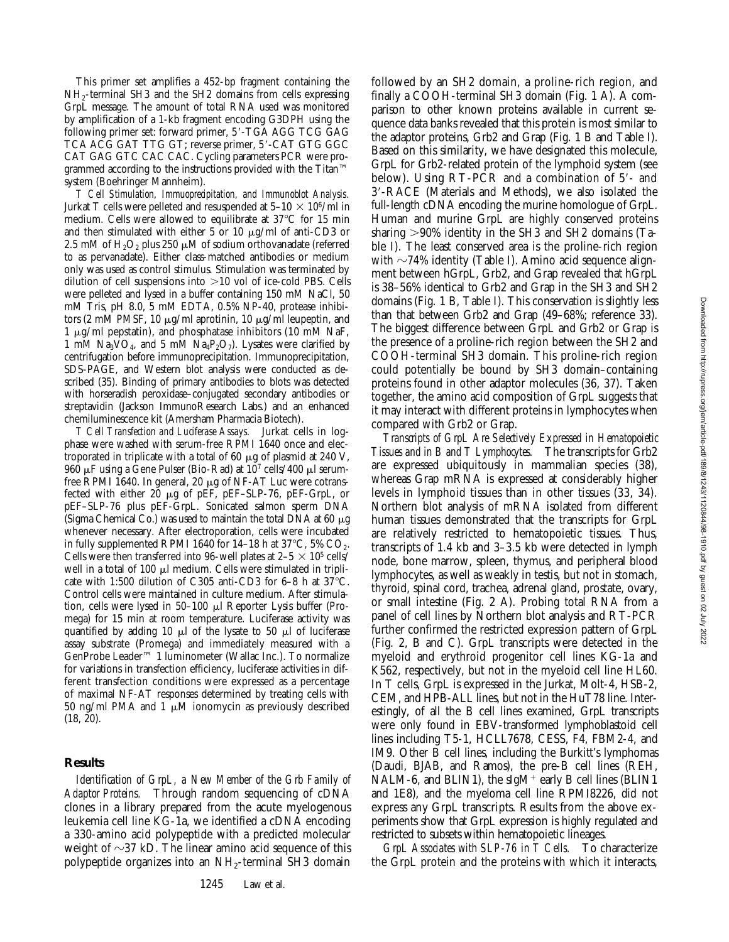This primer set amplifies a 452-bp fragment containing the NH2-terminal SH3 and the SH2 domains from cells expressing GrpL message. The amount of total RNA used was monitored by amplification of a 1-kb fragment encoding G3DPH using the following primer set: forward primer, 5'-TGA AGG TCG GAG TCA ACG GAT TTG GT; reverse primer, 5'-CAT GTG GGC CAT GAG GTC CAC CAC. Cycling parameters PCR were programmed according to the instructions provided with the Titan™ system (Boehringer Mannheim).

*T Cell Stimulation, Immuoprecipitation, and Immunoblot Analysis.* Jurkat T cells were pelleted and resuspended at  $5-10 \times 10^6$ /ml in medium. Cells were allowed to equilibrate at  $37^{\circ}$ C for 15 min and then stimulated with either 5 or 10  $\mu$ g/ml of anti-CD3 or 2.5 mM of  $H_2O_2$  plus 250  $\mu$ M of sodium orthovanadate (referred to as pervanadate). Either class-matched antibodies or medium only was used as control stimulus. Stimulation was terminated by dilution of cell suspensions into  $>10$  vol of ice-cold PBS. Cells were pelleted and lysed in a buffer containing 150 mM NaCl, 50 mM Tris, pH 8.0, 5 mM EDTA, 0.5% NP-40, protease inhibitors (2 mM PMSF, 10  $\mu$ g/ml aprotinin, 10  $\mu$ g/ml leupeptin, and 1  $\mu$ g/ml pepstatin), and phosphatase inhibitors (10 mM NaF, 1 mM Na<sub>3</sub>VO<sub>4</sub>, and 5 mM Na<sub>4</sub>P<sub>2</sub>O<sub>7</sub>). Lysates were clarified by centrifugation before immunoprecipitation. Immunoprecipitation, SDS-PAGE, and Western blot analysis were conducted as described (35). Binding of primary antibodies to blots was detected with horseradish peroxidase–conjugated secondary antibodies or streptavidin (Jackson ImmunoResearch Labs.) and an enhanced chemiluminescence kit (Amersham Pharmacia Biotech).

*T Cell Transfection and Luciferase Assays.* Jurkat cells in logphase were washed with serum-free RPMI 1640 once and electroporated in triplicate with a total of 60  $\mu$ g of plasmid at 240 V, 960  $\mu$ F using a Gene Pulser (Bio-Rad) at 10<sup>7</sup> cells/400  $\mu$ l serumfree RPMI 1640. In general, 20  $\mu$ g of NF-AT Luc were cotransfected with either  $20 \mu$ g of pEF, pEF-SLP-76, pEF-GrpL, or pEF–SLP-76 plus pEF-GrpL. Sonicated salmon sperm DNA (Sigma Chemical Co.) was used to maintain the total DNA at 60  $\mu$ g whenever necessary. After electroporation, cells were incubated in fully supplemented RPMI 1640 for 14-18 h at 37°C, 5%  $CO<sub>2</sub>$ . Cells were then transferred into 96-well plates at  $2-5 \times 10^5$  cells/ well in a total of 100  $\mu$ l medium. Cells were stimulated in triplicate with 1:500 dilution of C305 anti-CD3 for 6-8 h at  $37^{\circ}$ C. Control cells were maintained in culture medium. After stimulation, cells were lysed in 50-100 µl Reporter Lysis buffer (Promega) for 15 min at room temperature. Luciferase activity was quantified by adding 10  $\mu$ l of the lysate to 50  $\mu$ l of luciferase assay substrate (Promega) and immediately measured with a GenProbe Leader™ 1 luminometer (Wallac Inc.). To normalize for variations in transfection efficiency, luciferase activities in different transfection conditions were expressed as a percentage of maximal NF-AT responses determined by treating cells with 50 ng/ml PMA and 1  $\mu$ M ionomycin as previously described (18, 20).

### **Results**

*Identification of GrpL, a New Member of the Grb Family of Adaptor Proteins.* Through random sequencing of cDNA clones in a library prepared from the acute myelogenous leukemia cell line KG-1a, we identified a cDNA encoding a 330-amino acid polypeptide with a predicted molecular weight of  $\sim$ 37 kD. The linear amino acid sequence of this polypeptide organizes into an  $NH_2$ -terminal SH3 domain

followed by an SH2 domain, a proline-rich region, and finally a COOH-terminal SH3 domain (Fig. 1 A). A comparison to other known proteins available in current sequence data banks revealed that this protein is most similar to the adaptor proteins, Grb2 and Grap (Fig. 1 B and Table I). Based on this similarity, we have designated this molecule, GrpL for Grb2-related protein of the lymphoid system (see below). Using  $RT$ - $PCR$  and a combination of  $5'$ - and 3'-RACE (Materials and Methods), we also isolated the full-length cDNA encoding the murine homologue of GrpL. Human and murine GrpL are highly conserved proteins sharing  $>90\%$  identity in the SH3 and SH2 domains (Table I). The least conserved area is the proline-rich region with  $\sim$ 74% identity (Table I). Amino acid sequence alignment between hGrpL, Grb2, and Grap revealed that hGrpL is 38–56% identical to Grb2 and Grap in the SH3 and SH2 domains (Fig. 1 B, Table I). This conservation is slightly less than that between Grb2 and Grap (49–68%; reference 33). The biggest difference between GrpL and Grb2 or Grap is the presence of a proline-rich region between the SH2 and COOH-terminal SH3 domain. This proline-rich region could potentially be bound by SH3 domain–containing proteins found in other adaptor molecules (36, 37). Taken together, the amino acid composition of GrpL suggests that it may interact with different proteins in lymphocytes when compared with Grb2 or Grap.

*Transcripts of GrpL Are Selectively Expressed in Hematopoietic Tissues and in B and T Lymphocytes.* The transcripts for Grb2 are expressed ubiquitously in mammalian species (38), whereas Grap mRNA is expressed at considerably higher levels in lymphoid tissues than in other tissues (33, 34). Northern blot analysis of mRNA isolated from different human tissues demonstrated that the transcripts for GrpL are relatively restricted to hematopoietic tissues. Thus, transcripts of 1.4 kb and 3–3.5 kb were detected in lymph node, bone marrow, spleen, thymus, and peripheral blood lymphocytes, as well as weakly in testis, but not in stomach, thyroid, spinal cord, trachea, adrenal gland, prostate, ovary, or small intestine (Fig. 2 A). Probing total RNA from a panel of cell lines by Northern blot analysis and RT-PCR further confirmed the restricted expression pattern of GrpL (Fig. 2, B and C). GrpL transcripts were detected in the myeloid and erythroid progenitor cell lines KG-1a and K562, respectively, but not in the myeloid cell line HL60. In T cells, GrpL is expressed in the Jurkat, Molt-4, HSB-2, CEM, and HPB-ALL lines, but not in the HuT78 line. Interestingly, of all the B cell lines examined, GrpL transcripts were only found in EBV-transformed lymphoblastoid cell lines including T5-1, HCLL7678, CESS, F4, FBM2-4, and IM9. Other B cell lines, including the Burkitt's lymphomas (Daudi, BJAB, and Ramos), the pre-B cell lines (REH, NALM-6, and BLIN1), the sIgM<sup>+</sup> early B cell lines (BLIN1 and 1E8), and the myeloma cell line RPMI8226, did not express any GrpL transcripts. Results from the above experiments show that GrpL expression is highly regulated and restricted to subsets within hematopoietic lineages.

*GrpL Associates with SLP-76 in T Cells.* To characterize the GrpL protein and the proteins with which it interacts,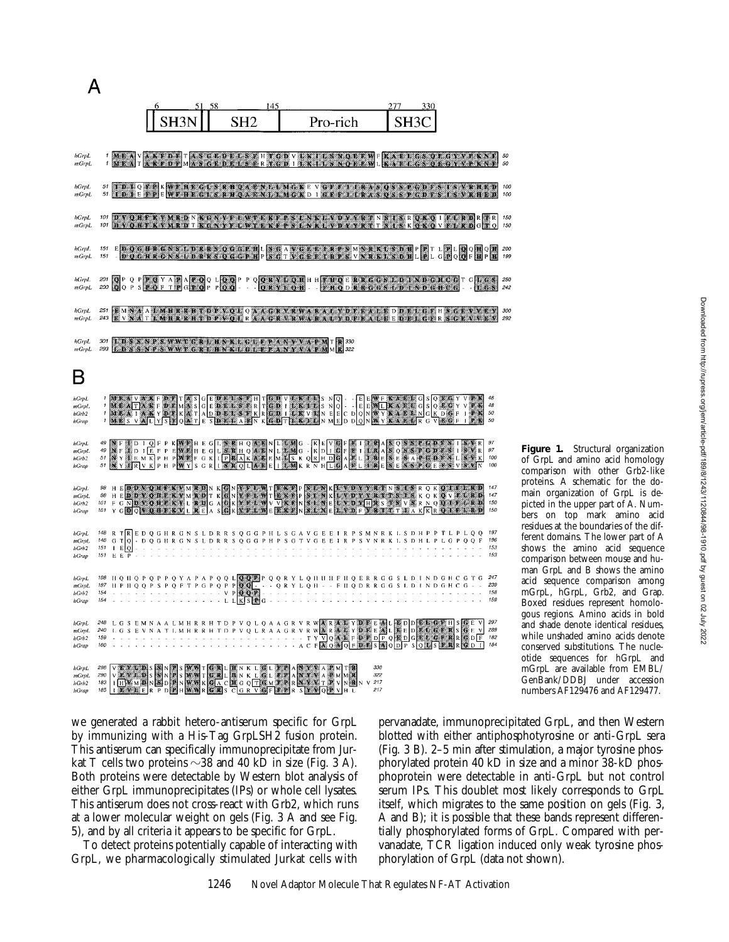|                                   |                          |                                                                                                                                                                                                                                                                                                                                                                                                                                                                                                                 |                                                                                                   |                |  |  | 58 |             |                 |  | 145 |    |  |                           |   |                              | 277 |  | 330 |      |                                                |         |                          |
|-----------------------------------|--------------------------|-----------------------------------------------------------------------------------------------------------------------------------------------------------------------------------------------------------------------------------------------------------------------------------------------------------------------------------------------------------------------------------------------------------------------------------------------------------------------------------------------------------------|---------------------------------------------------------------------------------------------------|----------------|--|--|----|-------------|-----------------|--|-----|----|--|---------------------------|---|------------------------------|-----|--|-----|------|------------------------------------------------|---------|--------------------------|
|                                   |                          |                                                                                                                                                                                                                                                                                                                                                                                                                                                                                                                 |                                                                                                   |                |  |  |    |             | SH <sub>2</sub> |  |     |    |  | Pro-rich                  |   |                              |     |  |     |      |                                                |         |                          |
| hGrpL<br>mGrl                     |                          | I MEAVAKPDETAS GEDELS FHT GDV LK LL S NOE E.WF KAKL GS OF GY Y P KNF<br>MEATAKEDPMASGEDELS FRTGDILKTLS NOEFWLK AELGS OR GYVP KNF                                                                                                                                                                                                                                                                                                                                                                                |                                                                                                   |                |  |  |    |             |                 |  |     |    |  |                           |   |                              |     |  |     |      |                                                |         |                          |
| hGrpL<br>mGrpL                    | 51                       | IDIQYPKWEHIGESRHQAENLEMGKEVGEFILKASQSSPGDFSISVRHED                                                                                                                                                                                                                                                                                                                                                                                                                                                              | D IE FPE WF HEGIS RHOAE NLIMG KD I GFF I IRASOSSP GDFS                                            |                |  |  |    |             |                 |  |     |    |  |                           |   |                              |     |  |     |      |                                                | ISVRHED |                          |
| hGrpL<br>mGrpL                    | 101<br>101               | DACOH KAMRD NKOANG HAVENGERS HAS LABAR DAG NING KA NG KARA DA DA DI PITARDRIA T                                                                                                                                                                                                                                                                                                                                                                                                                                 | <b>DVOHFKVMRDTKGNYFLWTEKFPSLNKLVDYYRTTSISKOKOVFLRDGTO</b>                                         |                |  |  |    |             |                 |  |     |    |  |                           |   |                              |     |  |     |      |                                                |         |                          |
| hGrpL<br>mGrpL                    | 151<br>151               |                                                                                                                                                                                                                                                                                                                                                                                                                                                                                                                 | <b>EDQGBRGNSLDRRSQGGPHLSGAVGRELRPSMNRKLSDHP</b><br>DOCHRONSLDRRSOGGPHPSGTVGEFTRPSVNRKLSDHLP       |                |  |  |    |             |                 |  |     |    |  |                           |   |                              |     |  |     | TTLP | $\begin{bmatrix} 1 & 0 \\ 0 & 0 \end{bmatrix}$ |         |                          |
| hGrpL<br>mGrpL                    | 201<br>200               | OPQPPOYAPAPOQLOOPPQORYLOHHHKHQERRGGSLDINDGHCGTGLGS<br>QQPSPQFTPGPOPPOQ - - QRYLOH - FRQDRRGGSLDINDGHCG - LGS                                                                                                                                                                                                                                                                                                                                                                                                    |                                                                                                   |                |  |  |    |             |                 |  |     |    |  |                           |   |                              |     |  |     |      |                                                |         |                          |
| hGrpL<br>mGrpL                    | 251<br>243               | <b>EMNA ALMHRRHTDPVQLQAAGRVRWARALYDFRALFDDELGFHSGRVVSV</b>                                                                                                                                                                                                                                                                                                                                                                                                                                                      | V N A T L M B R R H T D P V O L R A A G R V R W A B A L Y D F B A L E E D E L G F R S G E V V L V |                |  |  |    |             |                 |  |     |    |  |                           |   |                              |     |  |     |      |                                                |         |                          |
| hGrpL<br>mGrpL                    | 301<br>293               | <b>LDSSNPSWWTGRLHNKLGLFPANYVAPM</b>                                                                                                                                                                                                                                                                                                                                                                                                                                                                             | <b>DSSNPSWWTGRLHNKLGLFPANYVAPM</b>                                                                |                |  |  |    |             |                 |  |     |    |  | T <b>R</b> 330<br>M R 322 |   |                              |     |  |     |      |                                                |         |                          |
|                                   |                          |                                                                                                                                                                                                                                                                                                                                                                                                                                                                                                                 |                                                                                                   |                |  |  |    |             |                 |  |     |    |  |                           |   |                              |     |  |     |      |                                                |         |                          |
| hGrpL<br>mGrpl.<br>hGrb2<br>hGrap | $\mathbf{r}$<br>1<br>1   | $\begin{array}{l} \textbf{M} \in \mathcal{M} \setminus \mathcal{N} \times \mathbb{R} \in \mathcal{D} \times \mathbb{R} \times \mathbb{R} \times \mathbb{R} \times \mathbb{R} \times \mathbb{R} \times \mathbb{R} \times \mathbb{R} \times \mathbb{R} \times \mathbb{R} \times \mathbb{R} \times \mathbb{R} \times \mathbb{R} \times \mathbb{R} \times \mathbb{R} \times \mathbb{R} \times \mathbb{R} \times \mathbb{R} \times \mathbb{R} \times \mathbb{R} \times \mathbb{R} \times \mathbb{R} \times \mathbb{$ |                                                                                                   |                |  |  |    |             |                 |  |     |    |  |                           |   |                              |     |  |     |      |                                                |         | 48<br>48<br>50<br>50     |
| hGrpL<br>mGrpL<br>hGrb2<br>hGrap  | 49<br>49<br>$5\,t$<br>51 | NET DIOFPKWFHEGLENEROAENLICMG - KEVØFKITERASOS SPODESITS VR<br>NET DIE FPEWEHEGLISTER OATNLICMG - KOLLOFIEIT SKAS ON SPODESITS VR<br>NYTE M KP H PWFFGK I PRAKA SEMISK ORH DØAFLITSES A PGDFSLISTER<br>NYTE V KP H PWYSGR I STOLASE I T                                                                                                                                                                                                                                                                         |                                                                                                   |                |  |  |    |             |                 |  |     |    |  |                           |   |                              |     |  |     |      |                                                |         | 97<br>97<br>100<br>100   |
| hGrpl.<br>mGrpL<br>hGrb2<br>hGrap | 98<br>101<br>101         | 98 HE DEVELOPED NEGLA KONTE DANTE BERTENKE PERTANYA KELAPATAN NEGLA OK OFFICIALITY                                                                                                                                                                                                                                                                                                                                                                                                                              |                                                                                                   |                |  |  |    |             |                 |  |     |    |  |                           |   |                              |     |  |     |      |                                                |         | 147<br>147<br>150<br>150 |
| hGrpL<br>mGrpL<br>hGrb2<br>hGrap  | 148<br>151<br>151        | <sup>148</sup> R TRED Q G H R G N S L D R R S Q G G P H L S G A V G E E I R P S M N R K L S D H P P T L P L Q Q<br>G T Q - D Q G II R G N S L D R R S Q G G P H P S G T V G E E I R P S V N R K I. S D H L P L G P Q Q F<br>E[Q]<br><b>EEP</b>                                                                                                                                                                                                                                                                  | ł,                                                                                                | $\sim$ $ \sim$ |  |  |    |             |                 |  |     |    |  |                           |   |                              |     |  |     |      |                                                |         | 197<br>196<br>153<br>153 |
| hGrpL<br>mGrpL<br>hGrb2<br>hGrap  | 198<br>197<br>154<br>154 |                                                                                                                                                                                                                                                                                                                                                                                                                                                                                                                 |                                                                                                   |                |  |  |    | $\mathbb L$ | LKS             |  |     |    |  |                           |   |                              |     |  |     |      |                                                |         | 247<br>239<br>158<br>159 |
| hGrpL<br>mGrpL<br>hGrb2<br>hGrap  | 248<br>240<br>159<br>160 |                                                                                                                                                                                                                                                                                                                                                                                                                                                                                                                 |                                                                                                   |                |  |  |    |             |                 |  |     |    |  |                           |   |                              |     |  |     |      |                                                |         | 297<br>289<br>182<br>184 |
| hGrpL<br>mGrpL<br>hGrb2<br>hGrap  | 298<br>290<br>183<br>185 |                                                                                                                                                                                                                                                                                                                                                                                                                                                                                                                 |                                                                                                   |                |  |  |    |             | L <b>ENKLOL</b> |  |     | æ. |  | SE M                      | N | 330<br>322<br>$V$ 217<br>217 |     |  |     |      |                                                |         |                          |

we generated a rabbit hetero-antiserum specific for GrpL by immunizing with a His-Tag GrpLSH2 fusion protein. This antiserum can specifically immunoprecipitate from Jurkat T cells two proteins  $\sim$ 38 and 40 kD in size (Fig. 3 A). Both proteins were detectable by Western blot analysis of either GrpL immunoprecipitates (IPs) or whole cell lysates. This antiserum does not cross-react with Grb2, which runs at a lower molecular weight on gels (Fig. 3 A and see Fig. 5), and by all criteria it appears to be specific for GrpL.

To detect proteins potentially capable of interacting with GrpL, we pharmacologically stimulated Jurkat cells with pervanadate, immunoprecipitated GrpL, and then Western blotted with either antiphosphotyrosine or anti-GrpL sera (Fig. 3 B). 2–5 min after stimulation, a major tyrosine phosphorylated protein 40 kD in size and a minor 38-kD phosphoprotein were detectable in anti-GrpL but not control serum IPs. This doublet most likely corresponds to GrpL itself, which migrates to the same position on gels (Fig. 3, A and B); it is possible that these bands represent differentially phosphorylated forms of GrpL. Compared with pervanadate, TCR ligation induced only weak tyrosine phosphorylation of GrpL (data not shown).

50<br>50

300 292

**Figure 1.** Structural organization of GrpL and amino acid homology comparison with other Grb2-like proteins. A schematic for the domain organization of GrpL is depicted in the upper part of A. Numbers on top mark amino acid residues at the boundaries of the different domains. The lower part of A shows the amino acid sequence comparison between mouse and human GrpL and B shows the amino acid sequence comparison among mGrpL, hGrpL, Grb2, and Grap. Boxed residues represent homologous regions. Amino acids in bold and shade denote identical residues, while unshaded amino acids denote conserved substitutions. The nucleotide sequences for hGrpL and mGrpL are available from EMBL/ GenBank/DDBJ under accession numbers AF129476 and AF129477.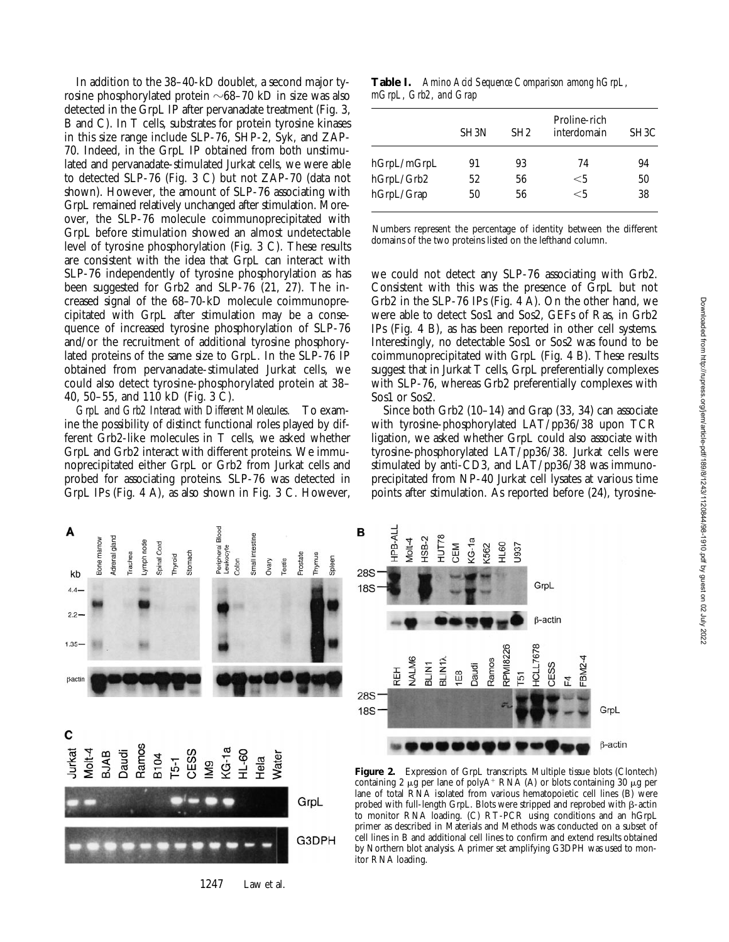In addition to the 38–40-kD doublet, a second major tyrosine phosphorylated protein  $\sim$ 68–70 kD in size was also detected in the GrpL IP after pervanadate treatment (Fig. 3, B and C). In T cells, substrates for protein tyrosine kinases in this size range include SLP-76, SHP-2, Syk, and ZAP-70. Indeed, in the GrpL IP obtained from both unstimulated and pervanadate-stimulated Jurkat cells, we were able to detected SLP-76 (Fig. 3 C) but not ZAP-70 (data not shown). However, the amount of SLP-76 associating with GrpL remained relatively unchanged after stimulation. Moreover, the SLP-76 molecule coimmunoprecipitated with GrpL before stimulation showed an almost undetectable level of tyrosine phosphorylation (Fig. 3 C). These results are consistent with the idea that GrpL can interact with SLP-76 independently of tyrosine phosphorylation as has been suggested for Grb2 and SLP-76 (21, 27). The increased signal of the 68–70-kD molecule coimmunoprecipitated with GrpL after stimulation may be a consequence of increased tyrosine phosphorylation of SLP-76 and/or the recruitment of additional tyrosine phosphorylated proteins of the same size to GrpL. In the SLP-76 IP obtained from pervanadate-stimulated Jurkat cells, we could also detect tyrosine-phosphorylated protein at 38– 40, 50–55, and 110 kD (Fig. 3 C).

*GrpL and Grb2 Interact with Different Molecules.* To examine the possibility of distinct functional roles played by different Grb2-like molecules in T cells, we asked whether GrpL and Grb2 interact with different proteins. We immunoprecipitated either GrpL or Grb2 from Jurkat cells and probed for associating proteins. SLP-76 was detected in GrpL IPs (Fig. 4 A), as also shown in Fig. 3 C. However,

**Table I.** *Amino Acid Sequence Comparison among hGrpL, mGrpL, Grb2, and Grap*

|             | SH <sub>3</sub> N | SH2 | Proline-rich<br>interdomain | SH <sub>3</sub> C |
|-------------|-------------------|-----|-----------------------------|-------------------|
| hGrpL/mGrpL | 91                | 93  | 74                          | 94                |
| hGrpL/Grb2  | 52                | 56  | $<$ 5                       | 50                |
| hGrpL/Grap  | 50                | 56  | $<$ 5                       | 38                |

Numbers represent the percentage of identity between the different domains of the two proteins listed on the lefthand column.

we could not detect any SLP-76 associating with Grb2. Consistent with this was the presence of GrpL but not Grb2 in the SLP-76 IPs (Fig. 4 A). On the other hand, we were able to detect Sos1 and Sos2, GEFs of Ras, in Grb2 IPs (Fig. 4 B), as has been reported in other cell systems. Interestingly, no detectable Sos1 or Sos2 was found to be coimmunoprecipitated with GrpL (Fig. 4 B). These results suggest that in Jurkat T cells, GrpL preferentially complexes with SLP-76, whereas Grb2 preferentially complexes with Sos1 or Sos2.

Since both Grb2 (10–14) and Grap (33, 34) can associate with tyrosine-phosphorylated LAT/pp36/38 upon TCR ligation, we asked whether GrpL could also associate with tyrosine-phosphorylated LAT/pp36/38. Jurkat cells were stimulated by anti-CD3, and LAT/pp36/38 was immunoprecipitated from NP-40 Jurkat cell lysates at various time points after stimulation. As reported before (24), tyrosine-

U937

GrpL

 $\beta$ -actin

CESS

臣

FBM2-4

GrpL

 $\beta$ -actin

**HCLL7678** 

 $\overline{5}$ 



1247 Law et al.

Figure 2. Expression of GrpL transcripts. Multiple tissue blots (Clontech) containing 2  $\mu$ g per lane of polyA<sup>+</sup> RNA (A) or blots containing 30  $\mu$ g per lane of total RNA isolated from various hematopoietic cell lines (B) were probed with full-length GrpL. Blots were stripped and reprobed with  $\beta$ -actin to monitor RNA loading. (C) RT-PCR using conditions and an hGrpL primer as described in Materials and Methods was conducted on a subset of cell lines in B and additional cell lines to confirm and extend results obtained by Northern blot analysis. A primer set amplifying G3DPH was used to mon-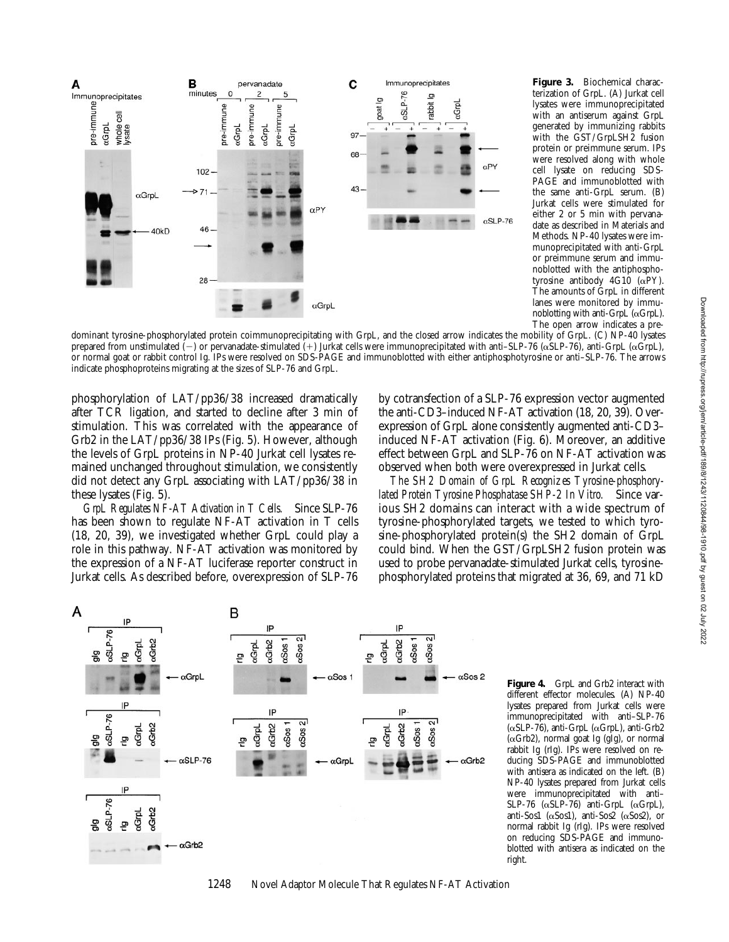

**Figure 3.** Biochemical characterization of GrpL. (A) Jurkat cell lysates were immunoprecipitated with an antiserum against GrpL generated by immunizing rabbits with the GST/GrpLSH2 fusion protein or preimmune serum. IPs were resolved along with whole cell lysate on reducing SDS-PAGE and immunoblotted with the same anti-GrpL serum. (B) Jurkat cells were stimulated for either 2 or 5 min with pervanadate as described in Materials and Methods. NP-40 lysates were immunoprecipitated with anti-GrpL or preimmune serum and immunoblotted with the antiphosphotyrosine antibody 4G10 (aPY). The amounts of GrpL in different lanes were monitored by immunoblotting with anti-GrpL  $(\alpha$ GrpL). The open arrow indicates a pre-

dominant tyrosine-phosphorylated protein coimmunoprecipitating with GrpL, and the closed arrow indicates the mobility of GrpL. (C) NP-40 lysates prepared from unstimulated (-) or pervanadate-stimulated (+) Jurkat cells were immunoprecipitated with anti–SLP-76 ( $\alpha$ SLP-76), anti-GrpL ( $\alpha$ GrpL), or normal goat or rabbit control Ig. IPs were resolved on SDS-PAGE and immunoblotted with either antiphosphotyrosine or anti–SLP-76. The arrows indicate phosphoproteins migrating at the sizes of SLP-76 and GrpL.

phosphorylation of LAT/pp36/38 increased dramatically after TCR ligation, and started to decline after 3 min of stimulation. This was correlated with the appearance of Grb2 in the LAT/pp36/38 IPs (Fig. 5). However, although the levels of GrpL proteins in NP-40 Jurkat cell lysates remained unchanged throughout stimulation, we consistently did not detect any GrpL associating with LAT/pp36/38 in these lysates (Fig. 5).

*GrpL Regulates NF-AT Activation in T Cells.* Since SLP-76 has been shown to regulate NF-AT activation in T cells (18, 20, 39), we investigated whether GrpL could play a role in this pathway. NF-AT activation was monitored by the expression of a NF-AT luciferase reporter construct in Jurkat cells. As described before, overexpression of SLP-76

by cotransfection of a SLP-76 expression vector augmented the anti-CD3–induced NF-AT activation (18, 20, 39). Overexpression of GrpL alone consistently augmented anti-CD3– induced NF-AT activation (Fig. 6). Moreover, an additive effect between GrpL and SLP-76 on NF-AT activation was observed when both were overexpressed in Jurkat cells.

*The SH2 Domain of GrpL Recognizes Tyrosine-phosphorylated Protein Tyrosine Phosphatase SHP-2 In Vitro.* Since various SH2 domains can interact with a wide spectrum of tyrosine-phosphorylated targets, we tested to which tyrosine-phosphorylated protein(s) the SH2 domain of GrpL could bind. When the GST/GrpLSH2 fusion protein was used to probe pervanadate-stimulated Jurkat cells, tyrosinephosphorylated proteins that migrated at 36, 69, and 71 kD



**Figure 4.** GrpL and Grb2 interact with different effector molecules. (A) NP-40 lysates prepared from Jurkat cells were immunoprecipitated with anti–SLP-76 ( $\alpha$ SLP-76), anti-GrpL ( $\alpha$ GrpL), anti-Grb2 (aGrb2), normal goat Ig (gIg), or normal rabbit Ig (rIg). IPs were resolved on reducing SDS-PAGE and immunoblotted with antisera as indicated on the left. (B) NP-40 lysates prepared from Jurkat cells were immunoprecipitated with anti– SLP-76  $(\alpha$ SLP-76) anti-GrpL  $(\alpha$ GrpL), anti-Sos1 ( $\alpha$ Sos1), anti-Sos2 ( $\alpha$ Sos2), or normal rabbit Ig (rIg). IPs were resolved on reducing SDS-PAGE and immunoblotted with antisera as indicated on the right.

1248 Novel Adaptor Molecule That Regulates NF-AT Activation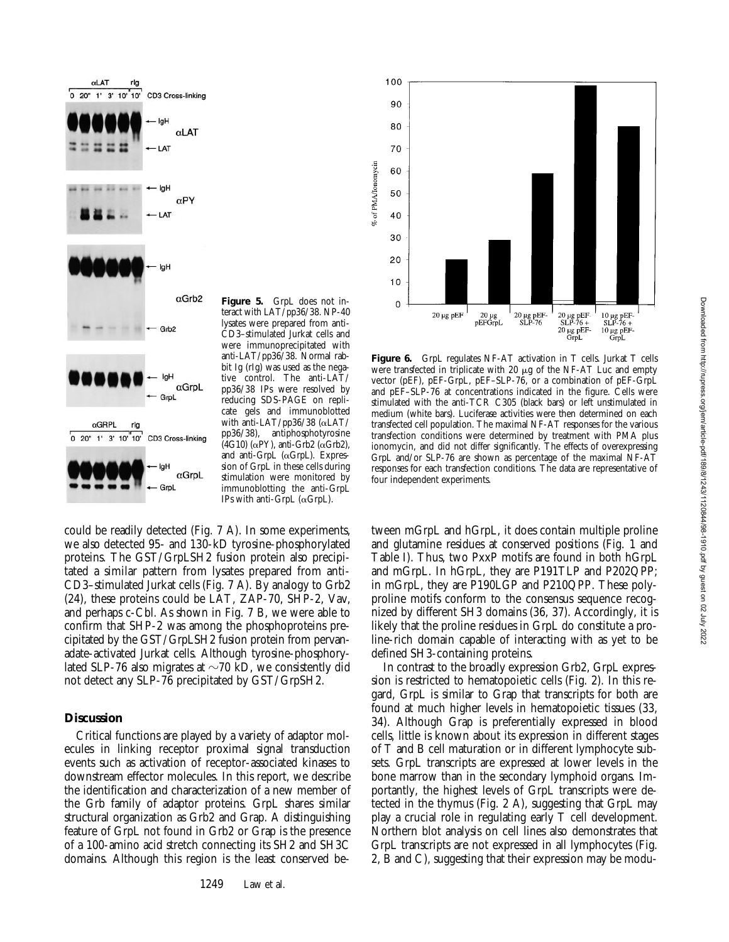

**Figure 5.** GrpL does not interact with LAT/pp36/38. NP-40 lysates were prepared from anti-CD3–stimulated Jurkat cells and were immunoprecipitated with anti-LAT/pp36/38. Normal rabbit Ig (rIg) was used as the negative control. The anti-LAT/ pp36/38 IPs were resolved by reducing SDS-PAGE on replicate gels and immunoblotted with anti-LAT/pp36/38 (aLAT/ pp36/38), antiphosphotyrosine  $(4G10)$  ( $\alpha$ PY), anti-Grb2 ( $\alpha$ Grb2), and anti-GrpL  $(\alpha$ GrpL). Expression of GrpL in these cells during stimulation were monitored by immunoblotting the anti-GrpL IPs with anti-GrpL ( $\alpha$ GrpL).

could be readily detected (Fig. 7 A). In some experiments, we also detected 95- and 130-kD tyrosine-phosphorylated proteins. The GST/GrpLSH2 fusion protein also precipitated a similar pattern from lysates prepared from anti-CD3–stimulated Jurkat cells (Fig. 7 A). By analogy to Grb2 (24), these proteins could be LAT, ZAP-70, SHP-2, Vav, and perhaps c-Cbl. As shown in Fig. 7 B, we were able to confirm that SHP-2 was among the phosphoproteins precipitated by the GST/GrpLSH2 fusion protein from pervanadate-activated Jurkat cells. Although tyrosine-phosphorylated SLP-76 also migrates at  $\sim$ 70 kD, we consistently did not detect any SLP-76 precipitated by GST/GrpSH2.

## **Discussion**

Critical functions are played by a variety of adaptor molecules in linking receptor proximal signal transduction events such as activation of receptor-associated kinases to downstream effector molecules. In this report, we describe the identification and characterization of a new member of the Grb family of adaptor proteins. GrpL shares similar structural organization as Grb2 and Grap. A distinguishing feature of GrpL not found in Grb2 or Grap is the presence of a 100-amino acid stretch connecting its SH2 and SH3C domains. Although this region is the least conserved be-



Figure 6. GrpL regulates NF-AT activation in T cells. Jurkat T cells were transfected in triplicate with 20  $\mu$ g of the NF-AT Luc and empty vector (pEF), pEF-GrpL, pEF–SLP-76, or a combination of pEF-GrpL and pEF–SLP-76 at concentrations indicated in the figure. Cells were stimulated with the anti-TCR C305 (black bars) or left unstimulated in medium (white bars). Luciferase activities were then determined on each transfected cell population. The maximal NF-AT responses for the various transfection conditions were determined by treatment with PMA plus ionomycin, and did not differ significantly. The effects of overexpressing GrpL and/or SLP-76 are shown as percentage of the maximal NF-AT responses for each transfection conditions. The data are representative of four independent experiments.

tween mGrpL and hGrpL, it does contain multiple proline and glutamine residues at conserved positions (Fig. 1 and Table I). Thus, two PxxP motifs are found in both hGrpL and mGrpL. In hGrpL, they are P191TLP and P202QPP; in mGrpL, they are P190LGP and P210QPP. These polyproline motifs conform to the consensus sequence recognized by different SH3 domains (36, 37). Accordingly, it is likely that the proline residues in GrpL do constitute a proline-rich domain capable of interacting with as yet to be defined SH3-containing proteins.

In contrast to the broadly expression Grb2, GrpL expression is restricted to hematopoietic cells (Fig. 2). In this regard, GrpL is similar to Grap that transcripts for both are found at much higher levels in hematopoietic tissues (33, 34). Although Grap is preferentially expressed in blood cells, little is known about its expression in different stages of T and B cell maturation or in different lymphocyte subsets. GrpL transcripts are expressed at lower levels in the bone marrow than in the secondary lymphoid organs. Importantly, the highest levels of GrpL transcripts were detected in the thymus (Fig. 2 A), suggesting that GrpL may play a crucial role in regulating early T cell development. Northern blot analysis on cell lines also demonstrates that GrpL transcripts are not expressed in all lymphocytes (Fig. 2, B and C), suggesting that their expression may be modu-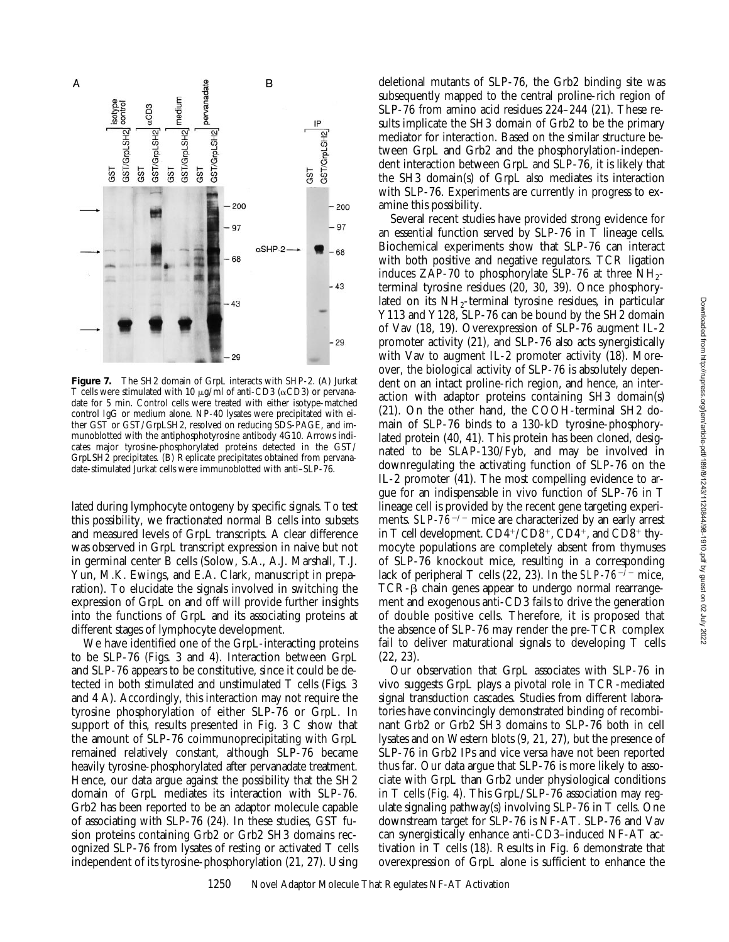

**Figure 7.** The SH2 domain of GrpL interacts with SHP-2. (A) Jurkat T cells were stimulated with 10  $\mu$ g/ml of anti-CD3 ( $\alpha$ CD3) or pervanadate for 5 min. Control cells were treated with either isotype-matched control IgG or medium alone. NP-40 lysates were precipitated with either GST or GST/GrpLSH2, resolved on reducing SDS-PAGE, and immunoblotted with the antiphosphotyrosine antibody 4G10. Arrows indicates major tyrosine-phosphorylated proteins detected in the GST/ GrpLSH2 precipitates. (B) Replicate precipitates obtained from pervanadate-stimulated Jurkat cells were immunoblotted with anti–SLP-76.

lated during lymphocyte ontogeny by specific signals. To test this possibility, we fractionated normal B cells into subsets and measured levels of GrpL transcripts. A clear difference was observed in GrpL transcript expression in naive but not in germinal center B cells (Solow, S.A., A.J. Marshall, T.J. Yun, M.K. Ewings, and E.A. Clark, manuscript in preparation). To elucidate the signals involved in switching the expression of GrpL on and off will provide further insights into the functions of GrpL and its associating proteins at different stages of lymphocyte development.

We have identified one of the GrpL-interacting proteins to be SLP-76 (Figs. 3 and 4). Interaction between GrpL and SLP-76 appears to be constitutive, since it could be detected in both stimulated and unstimulated T cells (Figs. 3 and 4 A). Accordingly, this interaction may not require the tyrosine phosphorylation of either SLP-76 or GrpL. In support of this, results presented in Fig. 3 C show that the amount of SLP-76 coimmunoprecipitating with GrpL remained relatively constant, although SLP-76 became heavily tyrosine-phosphorylated after pervanadate treatment. Hence, our data argue against the possibility that the SH2 domain of GrpL mediates its interaction with SLP-76. Grb2 has been reported to be an adaptor molecule capable of associating with SLP-76 (24). In these studies, GST fusion proteins containing Grb2 or Grb2 SH3 domains recognized SLP-76 from lysates of resting or activated T cells independent of its tyrosine-phosphorylation (21, 27). Using deletional mutants of SLP-76, the Grb2 binding site was subsequently mapped to the central proline-rich region of SLP-76 from amino acid residues 224–244 (21). These results implicate the SH3 domain of Grb2 to be the primary mediator for interaction. Based on the similar structure between GrpL and Grb2 and the phosphorylation-independent interaction between GrpL and SLP-76, it is likely that the SH3 domain(s) of GrpL also mediates its interaction with SLP-76. Experiments are currently in progress to examine this possibility.

Several recent studies have provided strong evidence for an essential function served by SLP-76 in T lineage cells. Biochemical experiments show that SLP-76 can interact with both positive and negative regulators. TCR ligation induces ZAP-70 to phosphorylate SLP-76 at three  $NH_{2-}$ terminal tyrosine residues (20, 30, 39). Once phosphorylated on its  $NH_2$ -terminal tyrosine residues, in particular Y113 and Y128, SLP-76 can be bound by the SH2 domain of Vav (18, 19). Overexpression of SLP-76 augment IL-2 promoter activity (21), and SLP-76 also acts synergistically with Vav to augment IL-2 promoter activity (18). Moreover, the biological activity of SLP-76 is absolutely dependent on an intact proline-rich region, and hence, an interaction with adaptor proteins containing SH3 domain(s) (21). On the other hand, the COOH-terminal SH2 domain of SLP-76 binds to a 130-kD tyrosine-phosphorylated protein (40, 41). This protein has been cloned, designated to be SLAP-130/Fyb, and may be involved in downregulating the activating function of SLP-76 on the IL-2 promoter (41). The most compelling evidence to argue for an indispensable in vivo function of SLP-76 in T lineage cell is provided by the recent gene targeting experiments.  $SLP-76^{-/-}$  mice are characterized by an early arrest in T cell development.  $CD4^+/CD8^+$ ,  $CD4^+$ , and  $CD8^+$  thymocyte populations are completely absent from thymuses of SLP-76 knockout mice, resulting in a corresponding lack of peripheral T cells (22, 23). In the  $SLP-76^{-7}$  mice,  $TCR-\beta$  chain genes appear to undergo normal rearrangement and exogenous anti-CD3 fails to drive the generation of double positive cells. Therefore, it is proposed that the absence of SLP-76 may render the pre-TCR complex fail to deliver maturational signals to developing T cells (22, 23).

Our observation that GrpL associates with SLP-76 in vivo suggests GrpL plays a pivotal role in TCR-mediated signal transduction cascades. Studies from different laboratories have convincingly demonstrated binding of recombinant Grb2 or Grb2 SH3 domains to SLP-76 both in cell lysates and on Western blots (9, 21, 27), but the presence of SLP-76 in Grb2 IPs and vice versa have not been reported thus far. Our data argue that SLP-76 is more likely to associate with GrpL than Grb2 under physiological conditions in T cells (Fig. 4). This GrpL/SLP-76 association may regulate signaling pathway(s) involving SLP-76 in T cells. One downstream target for SLP-76 is NF-AT. SLP-76 and Vav can synergistically enhance anti-CD3–induced NF-AT activation in T cells (18). Results in Fig. 6 demonstrate that overexpression of GrpL alone is sufficient to enhance the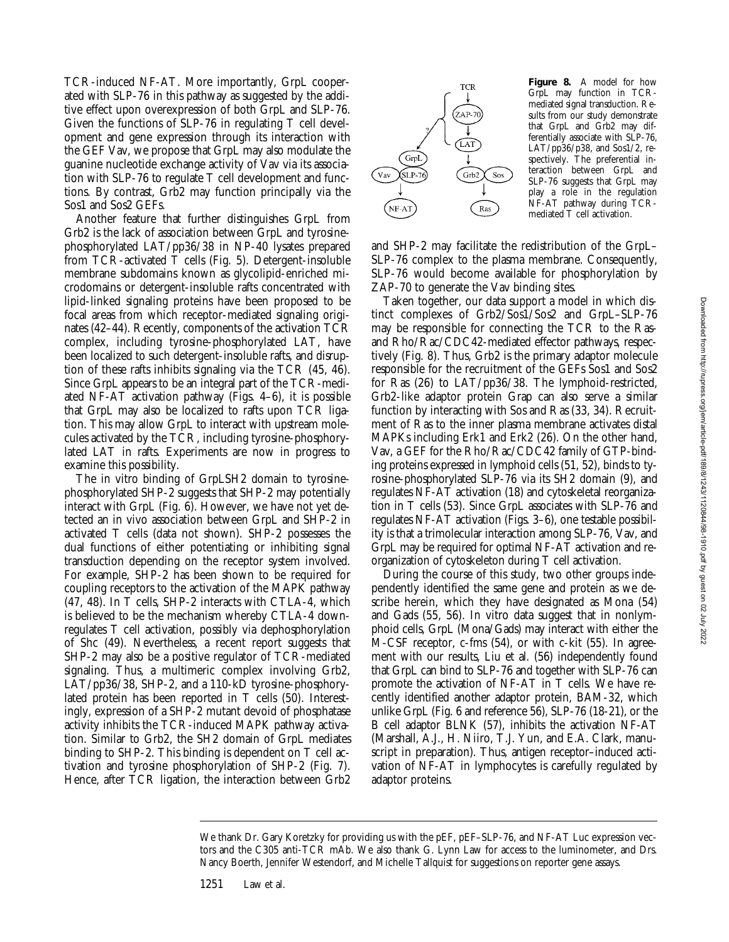TCR-induced NF-AT. More importantly, GrpL cooperated with SLP-76 in this pathway as suggested by the additive effect upon overexpression of both GrpL and SLP-76. Given the functions of SLP-76 in regulating T cell development and gene expression through its interaction with the GEF Vav, we propose that GrpL may also modulate the guanine nucleotide exchange activity of Vav via its association with SLP-76 to regulate T cell development and functions. By contrast, Grb2 may function principally via the Sos1 and Sos2 GEFs.

Another feature that further distinguishes GrpL from Grb2 is the lack of association between GrpL and tyrosinephosphorylated LAT/pp36/38 in NP-40 lysates prepared from TCR-activated T cells (Fig. 5). Detergent-insoluble membrane subdomains known as glycolipid-enriched microdomains or detergent-insoluble rafts concentrated with lipid-linked signaling proteins have been proposed to be focal areas from which receptor-mediated signaling originates (42–44). Recently, components of the activation TCR complex, including tyrosine-phosphorylated LAT, have been localized to such detergent-insoluble rafts, and disruption of these rafts inhibits signaling via the TCR (45, 46). Since GrpL appears to be an integral part of the TCR-mediated NF-AT activation pathway (Figs. 4–6), it is possible that GrpL may also be localized to rafts upon TCR ligation. This may allow GrpL to interact with upstream molecules activated by the TCR, including tyrosine-phosphorylated LAT in rafts. Experiments are now in progress to examine this possibility.

The in vitro binding of GrpLSH2 domain to tyrosinephosphorylated SHP-2 suggests that SHP-2 may potentially interact with GrpL (Fig. 6). However, we have not yet detected an in vivo association between GrpL and SHP-2 in activated T cells (data not shown). SHP-2 possesses the dual functions of either potentiating or inhibiting signal transduction depending on the receptor system involved. For example, SHP-2 has been shown to be required for coupling receptors to the activation of the MAPK pathway (47, 48). In T cells, SHP-2 interacts with CTLA-4, which is believed to be the mechanism whereby CTLA-4 downregulates T cell activation, possibly via dephosphorylation of Shc (49). Nevertheless, a recent report suggests that SHP-2 may also be a positive regulator of TCR-mediated signaling. Thus, a multimeric complex involving Grb2, LAT/pp36/38, SHP-2, and a 110-kD tyrosine-phosphorylated protein has been reported in T cells (50). Interestingly, expression of a SHP-2 mutant devoid of phosphatase activity inhibits the TCR-induced MAPK pathway activation. Similar to Grb2, the SH2 domain of GrpL mediates binding to SHP-2. This binding is dependent on T cell activation and tyrosine phosphorylation of SHP-2 (Fig. 7). Hence, after TCR ligation, the interaction between Grb2



**Figure 8.** A model for how GrpL may function in TCRmediated signal transduction. Results from our study demonstrate that GrpL and Grb2 may differentially associate with SLP-76, LAT/pp36/p38, and Sos1/2, respectively. The preferential interaction between GrpL and SLP-76 suggests that GrpL may play a role in the regulation NF-AT pathway during TCRmediated T cell activation.

and SHP-2 may facilitate the redistribution of the GrpL– SLP-76 complex to the plasma membrane. Consequently, SLP-76 would become available for phosphorylation by ZAP-70 to generate the Vav binding sites.

Taken together, our data support a model in which distinct complexes of Grb2/Sos1/Sos2 and GrpL–SLP-76 may be responsible for connecting the TCR to the Rasand Rho/Rac/CDC42-mediated effector pathways, respectively (Fig. 8). Thus, Grb2 is the primary adaptor molecule responsible for the recruitment of the GEFs Sos1 and Sos2 for Ras (26) to LAT/pp36/38. The lymphoid-restricted, Grb2-like adaptor protein Grap can also serve a similar function by interacting with Sos and Ras (33, 34). Recruitment of Ras to the inner plasma membrane activates distal MAPKs including Erk1 and Erk2 (26). On the other hand, Vav, a GEF for the Rho/Rac/CDC42 family of GTP-binding proteins expressed in lymphoid cells (51, 52), binds to tyrosine-phosphorylated SLP-76 via its SH2 domain (9), and regulates NF-AT activation (18) and cytoskeletal reorganization in T cells (53). Since GrpL associates with SLP-76 and regulates NF-AT activation (Figs. 3–6), one testable possibility is that a trimolecular interaction among SLP-76, Vav, and GrpL may be required for optimal NF-AT activation and reorganization of cytoskeleton during T cell activation.

During the course of this study, two other groups independently identified the same gene and protein as we describe herein, which they have designated as Mona (54) and Gads (55, 56). In vitro data suggest that in nonlymphoid cells, GrpL (Mona/Gads) may interact with either the M-CSF receptor, c-fms (54), or with c-kit (55). In agreement with our results, Liu et al. (56) independently found that GrpL can bind to SLP-76 and together with SLP-76 can promote the activation of NF-AT in T cells. We have recently identified another adaptor protein, BAM-32, which unlike GrpL (Fig. 6 and reference 56), SLP-76 (18-21), or the B cell adaptor BLNK (57), inhibits the activation NF-AT (Marshall, A.J., H. Niiro, T.J. Yun, and E.A. Clark, manuscript in preparation). Thus, antigen receptor–induced activation of NF-AT in lymphocytes is carefully regulated by adaptor proteins.

We thank Dr. Gary Koretzky for providing us with the pEF, pEF–SLP-76, and NF-AT Luc expression vectors and the C305 anti-TCR mAb. We also thank G. Lynn Law for access to the luminometer, and Drs. Nancy Boerth, Jennifer Westendorf, and Michelle Tallquist for suggestions on reporter gene assays.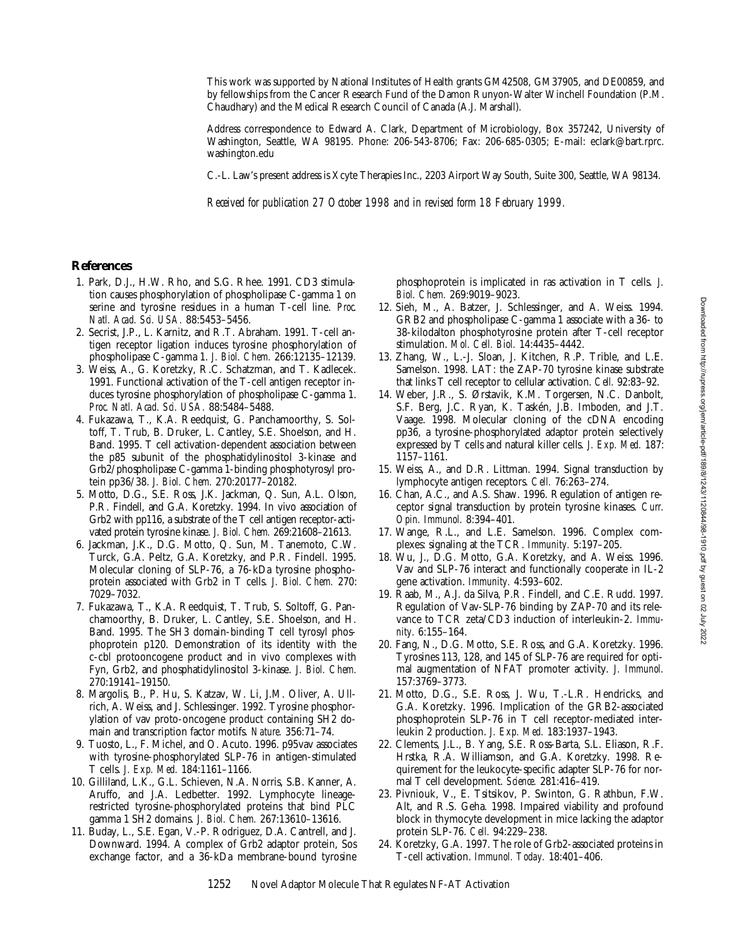This work was supported by National Institutes of Health grants GM42508, GM37905, and DE00859, and by fellowships from the Cancer Research Fund of the Damon Runyon-Walter Winchell Foundation (P.M. Chaudhary) and the Medical Research Council of Canada (A.J. Marshall).

Address correspondence to Edward A. Clark, Department of Microbiology, Box 357242, University of Washington, Seattle, WA 98195. Phone: 206-543-8706; Fax: 206-685-0305; E-mail: eclark@bart.rprc. washington.edu

C.-L. Law's present address is Xcyte Therapies Inc., 2203 Airport Way South, Suite 300, Seattle, WA 98134.

*Received for publication 27 October 1998 and in revised form 18 February 1999.*

#### **References**

- 1. Park, D.J., H.W. Rho, and S.G. Rhee. 1991. CD3 stimulation causes phosphorylation of phospholipase C-gamma 1 on serine and tyrosine residues in a human T-cell line. *Proc. Natl. Acad. Sci. USA.* 88:5453–5456.
- 2. Secrist, J.P., L. Karnitz, and R.T. Abraham. 1991. T-cell antigen receptor ligation induces tyrosine phosphorylation of phospholipase C-gamma 1. *J. Biol. Chem.* 266:12135–12139.
- 3. Weiss, A., G. Koretzky, R.C. Schatzman, and T. Kadlecek. 1991. Functional activation of the T-cell antigen receptor induces tyrosine phosphorylation of phospholipase C-gamma 1. *Proc. Natl. Acad. Sci. USA.* 88:5484–5488.
- 4. Fukazawa, T., K.A. Reedquist, G. Panchamoorthy, S. Soltoff, T. Trub, B. Druker, L. Cantley, S.E. Shoelson, and H. Band. 1995. T cell activation-dependent association between the p85 subunit of the phosphatidylinositol 3-kinase and Grb2/phospholipase C-gamma 1-binding phosphotyrosyl protein pp36/38. *J. Biol. Chem.* 270:20177–20182.
- 5. Motto, D.G., S.E. Ross, J.K. Jackman, Q. Sun, A.L. Olson, P.R. Findell, and G.A. Koretzky. 1994. In vivo association of Grb2 with pp116, a substrate of the T cell antigen receptor-activated protein tyrosine kinase. *J. Biol. Chem.* 269:21608–21613.
- 6. Jackman, J.K., D.G. Motto, Q. Sun, M. Tanemoto, C.W. Turck, G.A. Peltz, G.A. Koretzky, and P.R. Findell. 1995. Molecular cloning of SLP-76, a 76-kDa tyrosine phosphoprotein associated with Grb2 in T cells. *J. Biol. Chem.* 270: 7029–7032.
- 7. Fukazawa, T., K.A. Reedquist, T. Trub, S. Soltoff, G. Panchamoorthy, B. Druker, L. Cantley, S.E. Shoelson, and H. Band. 1995. The SH3 domain-binding T cell tyrosyl phosphoprotein p120. Demonstration of its identity with the c-cbl protooncogene product and in vivo complexes with Fyn, Grb2, and phosphatidylinositol 3-kinase. *J. Biol. Chem.* 270:19141–19150.
- 8. Margolis, B., P. Hu, S. Katzav, W. Li, J.M. Oliver, A. Ullrich, A. Weiss, and J. Schlessinger. 1992. Tyrosine phosphorylation of vav proto-oncogene product containing SH2 domain and transcription factor motifs. *Nature.* 356:71–74.
- 9. Tuosto, L., F. Michel, and O. Acuto. 1996. p95vav associates with tyrosine-phosphorylated SLP-76 in antigen-stimulated T cells. *J. Exp. Med.* 184:1161–1166.
- 10. Gilliland, L.K., G.L. Schieven, N.A. Norris, S.B. Kanner, A. Aruffo, and J.A. Ledbetter. 1992. Lymphocyte lineagerestricted tyrosine-phosphorylated proteins that bind PLC gamma 1 SH2 domains. *J. Biol. Chem.* 267:13610–13616.
- 11. Buday, L., S.E. Egan, V.-P. Rodriguez, D.A. Cantrell, and J. Downward. 1994. A complex of Grb2 adaptor protein, Sos exchange factor, and a 36-kDa membrane-bound tyrosine

phosphoprotein is implicated in ras activation in T cells. *J. Biol. Chem.* 269:9019–9023.

- 12. Sieh, M., A. Batzer, J. Schlessinger, and A. Weiss. 1994. GRB2 and phospholipase C-gamma 1 associate with a 36- to 38-kilodalton phosphotyrosine protein after T-cell receptor stimulation. *Mol. Cell. Biol.* 14:4435–4442.
- 13. Zhang, W., L.-J. Sloan, J. Kitchen, R.P. Trible, and L.E. Samelson. 1998. LAT: the ZAP-70 tyrosine kinase substrate that links T cell receptor to cellular activation. *Cell.* 92:83–92.
- 14. Weber, J.R., S. Ørstavik, K.M. Torgersen, N.C. Danbolt, S.F. Berg, J.C. Ryan, K. Taskén, J.B. Imboden, and J.T. Vaage. 1998. Molecular cloning of the cDNA encoding pp36, a tyrosine-phosphorylated adaptor protein selectively expressed by T cells and natural killer cells. *J. Exp. Med.* 187: 1157–1161.
- 15. Weiss, A., and D.R. Littman. 1994. Signal transduction by lymphocyte antigen receptors. *Cell.* 76:263–274.
- 16. Chan, A.C., and A.S. Shaw. 1996. Regulation of antigen receptor signal transduction by protein tyrosine kinases. *Curr. Opin. Immunol.* 8:394–401.
- 17. Wange, R.L., and L.E. Samelson. 1996. Complex complexes: signaling at the TCR. *Immunity.* 5:197–205.
- 18. Wu, J., D.G. Motto, G.A. Koretzky, and A. Weiss. 1996. Vav and SLP-76 interact and functionally cooperate in IL-2 gene activation. *Immunity.* 4:593–602.
- 19. Raab, M., A.J. da Silva, P.R. Findell, and C.E. Rudd. 1997. Regulation of Vav-SLP-76 binding by ZAP-70 and its relevance to TCR zeta/CD3 induction of interleukin-2. *Immunity.* 6:155–164.
- 20. Fang, N., D.G. Motto, S.E. Ross, and G.A. Koretzky. 1996. Tyrosines 113, 128, and 145 of SLP-76 are required for optimal augmentation of NFAT promoter activity. *J. Immunol.* 157:3769–3773.
- 21. Motto, D.G., S.E. Ross, J. Wu, T.-L.R. Hendricks, and G.A. Koretzky. 1996. Implication of the GRB2-associated phosphoprotein SLP-76 in T cell receptor-mediated interleukin 2 production. *J. Exp. Med.* 183:1937–1943.
- 22. Clements, J.L., B. Yang, S.E. Ross-Barta, S.L. Eliason, R.F. Hrstka, R.A. Williamson, and G.A. Koretzky. 1998. Requirement for the leukocyte-specific adapter SLP-76 for normal T cell development. *Science.* 281:416–419.
- 23. Pivniouk, V., E. Tsitsikov, P. Swinton, G. Rathbun, F.W. Alt, and R.S. Geha. 1998. Impaired viability and profound block in thymocyte development in mice lacking the adaptor protein SLP-76. *Cell.* 94:229–238.
- 24. Koretzky, G.A. 1997. The role of Grb2-associated proteins in T-cell activation. *Immunol. Today.* 18:401–406.